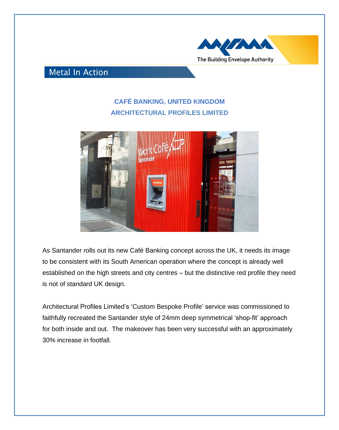

## **Metal In Action**

## **CAFÉ BANKING, UNITED KINGDOM ARCHITECTURAL PROFILES LIMITED**



As Santander rolls out its new Café Banking concept across the UK, it needs its image to be consistent with its South American operation where the concept is already well established on the high streets and city centres – but the distinctive red profile they need is not of standard UK design.

Architectural Profiles Limited's 'Custom Bespoke Profile' service was commissioned to faithfully recreated the Santander style of 24mm deep symmetrical 'shop-fit' approach for both inside and out. The makeover has been very successful with an approximately 30% increase in footfall.